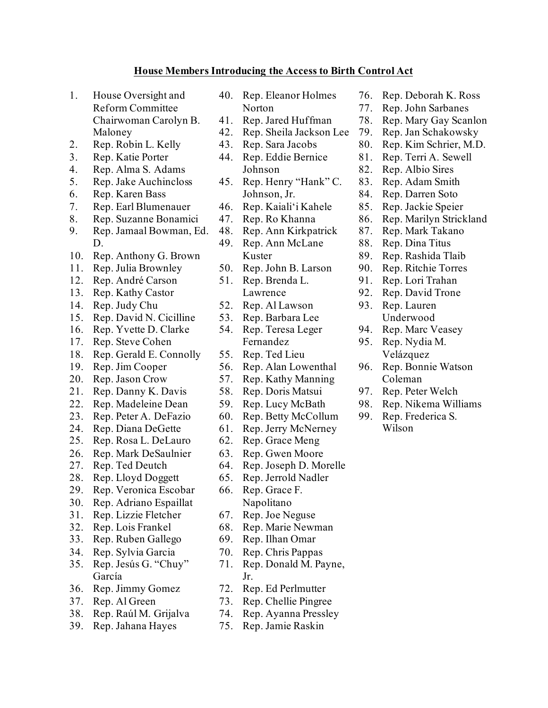## **House Members Introducing the Access to Birth Control Act**

- 1. House Oversight and Reform Committee Chairwoman Carolyn B.
- Maloney 2. Rep. Robin L. Kelly
- 3. Rep. Katie Porter
- 4. Rep. Alma S. Adams
- 5. Rep. Jake Auchincloss
- 6. Rep. Karen Bass
- 7. Rep. Earl Blumenauer
- 8. Rep. Suzanne Bonamici
- 9. Rep. Jamaal Bowman, Ed. D.
- 10. Rep. Anthony G. Brown
- 11. Rep. Julia Brownley
- 12. Rep. André Carson
- 13. Rep. Kathy Castor
- 14. Rep. Judy Chu
- 15. Rep. David N. Cicilline
- 16. Rep. Yvette D. Clarke
- 17. Rep. Steve Cohen
- 18. Rep. Gerald E. Connolly
- 19. Rep. Jim Cooper
- 20. Rep. Jason Crow
- 21. Rep. Danny K. Davis
- 22. Rep. Madeleine Dean
- 23. Rep. Peter A. DeFazio
- 24. Rep. Diana DeGette
- 25. Rep. Rosa L. DeLauro
- 26. Rep. Mark DeSaulnier
- 27. Rep. Ted Deutch
- 28. Rep. Lloyd Doggett
- 29. Rep. Veronica Escobar
- 30. Rep. Adriano Espaillat
- 31. Rep. Lizzie Fletcher
- 32. Rep. Lois Frankel
- 33. Rep. Ruben Gallego
- 34. Rep. Sylvia Garcia
- 35. Rep. Jesús G. "Chuy" García
- 36. Rep. Jimmy Gomez
- 37. Rep. Al Green
- 38. Rep. Raúl M. Grijalva
- 39. Rep. Jahana Hayes
- 40. Rep. Eleanor Holmes Norton
- 41. Rep. Jared Huffman
- 42. Rep. Sheila Jackson Lee
- 43. Rep. Sara Jacobs
- 44. Rep. Eddie Bernice Johnson
- 45. Rep. Henry "Hank" C. Johnson, Jr.
- 46. Rep. Kaiali'i Kahele
- 47. Rep. Ro Khanna
- 48. Rep. Ann Kirkpatrick
- 49. Rep. Ann McLane Kuster
- 50. Rep. John B. Larson
- 51. Rep. Brenda L.
	- Lawrence
- 52. Rep. Al Lawson
- 53. Rep. Barbara Lee
- 54. Rep. Teresa Leger Fernandez
- 55. Rep. Ted Lieu
- 56. Rep. Alan Lowenthal
- 57. Rep. Kathy Manning
- 58. Rep. Doris Matsui
- 59. Rep. Lucy McBath
- 60. Rep. Betty McCollum
- 61. Rep. Jerry McNerney
- 62. Rep. Grace Meng
- 63. Rep. Gwen Moore
- 64. Rep. Joseph D. Morelle
- 65. Rep. Jerrold Nadler
- 66. Rep. Grace F.
	- Napolitano
- 67. Rep. Joe Neguse
- 68. Rep. Marie Newman
- 69. Rep. Ilhan Omar
- 70. Rep. Chris Pappas
- 71. Rep. Donald M. Payne, Jr.
- 72. Rep. Ed Perlmutter
- 73. Rep. Chellie Pingree
- 74. Rep. Ayanna Pressley
- 75. Rep. Jamie Raskin
- 76. Rep. Deborah K. Ross
- 77. Rep. John Sarbanes
- 78. Rep. Mary Gay Scanlon
- 79. Rep. Jan Schakowsky
- 80. Rep. Kim Schrier, M.D.
- 81. Rep. Terri A. Sewell
- 82. Rep. Albio Sires
- 83. Rep. Adam Smith
- 84. Rep. Darren Soto
- 85. Rep. Jackie Speier
- 86. Rep. Marilyn Strickland
- 87. Rep. Mark Takano
- 88. Rep. Dina Titus
- 89. Rep. Rashida Tlaib
- 90. Rep. Ritchie Torres
- 91. Rep. Lori Trahan
- 92. Rep. David Trone
- 93. Rep. Lauren Underwood
- 94. Rep. Marc Veasey
- 95. Rep. Nydia M. Velázquez
- 96. Rep. Bonnie Watson Coleman

98. Rep. Nikema Williams 99. Rep. Frederica S. Wilson

97. Rep. Peter Welch